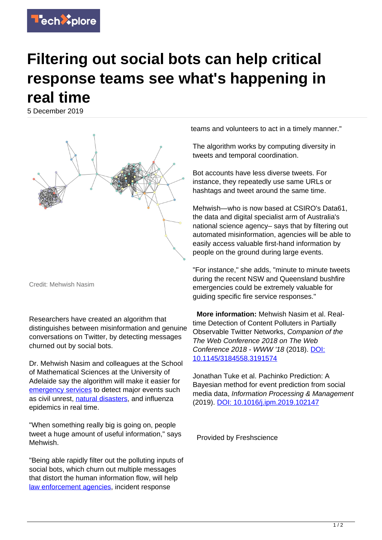

## **Filtering out social bots can help critical response teams see what's happening in real time**

5 December 2019



Credit: Mehwish Nasim

Researchers have created an algorithm that distinguishes between misinformation and genuine conversations on Twitter, by detecting messages churned out by social bots.

Dr. Mehwish Nasim and colleagues at the School of Mathematical Sciences at the University of Adelaide say the algorithm will make it easier for [emergency services](https://techxplore.com/tags/emergency+services/) to detect major events such as civil unrest, [natural disasters,](https://techxplore.com/tags/natural+disasters/) and influenza epidemics in real time.

"When something really big is going on, people tweet a huge amount of useful information," says Mehwish.

"Being able rapidly filter out the polluting inputs of social bots, which churn out multiple messages that distort the human information flow, will help [law enforcement agencies](https://techxplore.com/tags/law+enforcement+agencies/), incident response

teams and volunteers to act in a timely manner."

The algorithm works by computing diversity in tweets and temporal coordination.

Bot accounts have less diverse tweets. For instance, they repeatedly use same URLs or hashtags and tweet around the same time.

Mehwish—who is now based at CSIRO's Data61, the data and digital specialist arm of Australia's national science agency– says that by filtering out automated misinformation, agencies will be able to easily access valuable first-hand information by people on the ground during large events.

"For instance," she adds, "minute to minute tweets during the recent NSW and Queensland bushfire emergencies could be extremely valuable for guiding specific fire service responses."

 **More information:** Mehwish Nasim et al. Realtime Detection of Content Polluters in Partially Observable Twitter Networks, Companion of the The Web Conference 2018 on The Web Conference 2018 - WWW '18 (2018). [DOI:](http://dx.doi.org/10.1145/3184558.3191574) [10.1145/3184558.3191574](http://dx.doi.org/10.1145/3184558.3191574)

Jonathan Tuke et al. Pachinko Prediction: A Bayesian method for event prediction from social media data, Information Processing & Management (2019). [DOI: 10.1016/j.ipm.2019.102147](http://dx.doi.org/10.1016/j.ipm.2019.102147)

Provided by Freshscience